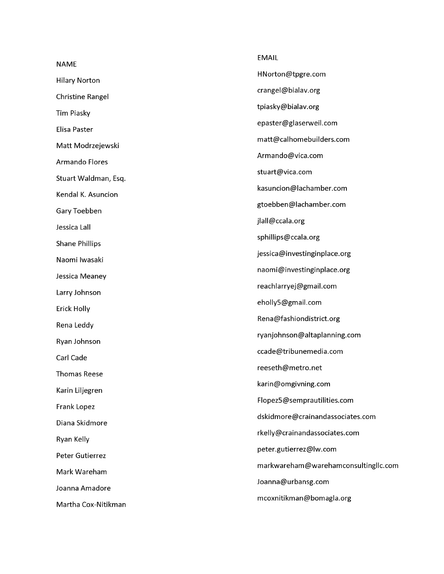|                         | <b>EMAIL</b>                         |
|-------------------------|--------------------------------------|
| <b>NAME</b>             | HNorton@tpgre.com                    |
| <b>Hilary Norton</b>    | crangel@bialav.org                   |
| <b>Christine Rangel</b> | tpiasky@bialav.org                   |
| <b>Tim Piasky</b>       | epaster@glaserweil.com               |
| Elisa Paster            | matt@calhomebuilders.com             |
| Matt Modrzejewski       |                                      |
| <b>Armando Flores</b>   | Armando@vica.com                     |
| Stuart Waldman, Esq.    | stuart@vica.com                      |
| Kendal K. Asuncion      | kasuncion@lachamber.com              |
| Gary Toebben            | gtoebben@lachamber.com               |
| Jessica Lall            | jlall@ccala.org                      |
| <b>Shane Phillips</b>   | sphillips@ccala.org                  |
| Naomi Iwasaki           | jessica@investinginplace.org         |
| Jessica Meaney          | naomi@investinginplace.org           |
| Larry Johnson           | reachlarryej@gmail.com               |
| Erick Holly             | eholly5@gmail.com                    |
| Rena Leddy              | Rena@fashiondistrict.org             |
| Ryan Johnson            | ryanjohnson@altaplanning.com         |
| Carl Cade               | ccade@tribunemedia.com               |
| <b>Thomas Reese</b>     | reeseth@metro.net                    |
| Karin Liljegren         | karin@omgivning.com                  |
|                         | Flopez5@semprautilities.com          |
| Frank Lopez             | dskidmore@crainandassociates.com     |
| Diana Skidmore          | rkelly@crainandassociates.com        |
| Ryan Kelly              | peter.gutierrez@lw.com               |
| Peter Gutierrez         |                                      |
| Mark Wareham            | markwareham@warehamconsultingllc.com |
| Joanna Amadore          | Joanna@urbansg.com                   |
| Martha Cox-Nitikman     | mcoxnitikman@bomagla.org             |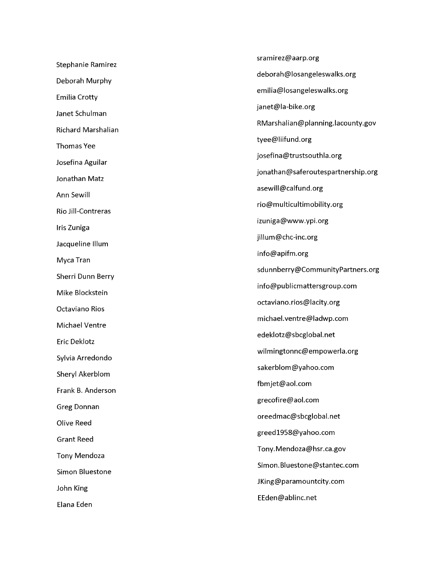| <b>Stephanie Ramirez</b> |
|--------------------------|
| Deborah Murphy           |
| <b>Emilia Crotty</b>     |
| Janet Schulman           |
| Richard Marshalian       |
| <b>Thomas Yee</b>        |
| Josefina Aguilar         |
| Jonathan Matz            |
| Ann Sewill               |
| Rio Jill-Contreras       |
| Iris Zuniga              |
| Jacqueline Illum         |
| Myca Tran                |
| Sherri Dunn Berry        |
| Mike Blockstein          |
| Octaviano Rios           |
| Michael Ventre           |
| Eric Deklotz             |
| Sylvia Arredondo         |
| Sheryl Akerblom          |
| Frank B. Anderson        |
| <b>Greg Donnan</b>       |
| Olive Reed               |
| <b>Grant Reed</b>        |
| <b>Tony Mendoza</b>      |
| Simon Bluestone          |
| John King                |
| Elana Eden               |

[sramirez@aarp.org](mailto:sramirez@aarp.org) [deborah@losangeleswalks.org](mailto:deborah@losangeleswalks.org) [emilia@losangeleswalks.org](mailto:emilia@losangeleswalks.org) [janet@la-bike.org](mailto:janet@la-bike.org) [RMarshalian@planning.lacounty.gov](mailto:RMarshalian@planning.lacounty.gov) [tyee@liifund.org](mailto:tyee@liifund.org) [josefina@trustsouthla.org](mailto:josefina@trustsouthla.org) [jonathan@saferoutespartnership.org](mailto:jonathan@saferoutespartnership.org) [asewill@calfund.org](mailto:asewill@calfund.org) [rio@multicultimobility.org](mailto:rio@multicultimobility.org) [izuniga@www.ypi.org](mailto:izuniga@www.ypi.org) [jillum@chc-inc.org](mailto:jillum@chc-inc.org) [info@apifm.org](mailto:info@apifm.org) [sdunnberry@CommunityPartners.org](mailto:sdunnberry@CommunityPartners.org) [info@publicmattersgroup.com](mailto:info@publicmattersgroup.com) [octaviano.rios@lacity.org](mailto:octaviano.rios@lacity.org) [michael.ventre@ladwp.com](mailto:michael.ventre@ladwp.com) [edeklotz@sbcglobal.net](mailto:edeklotz@sbcglobal.net) [wilmingtonnc@empowerla.org](mailto:wilmingtonnc@empowerla.org) [sakerblom@yahoo.com](mailto:sakerblom@yahoo.com) [fbmjet@aol.com](mailto:fbmjet@aol.com) [grecofire@aol.com](mailto:grecofire@aol.com) [oreedmac@sbcglobal.net](mailto:oreedmac@sbcglobal.net) [greed1958@yahoo.com](mailto:greed1958@yahoo.com) [Tony.Mendoza@hsr.ca.gov](mailto:Tony.Mendoza@hsr.ca.gov) [Simon.Bluestone@stantec.com](mailto:Simon.Bluestone@stantec.com) [JKing@paramountcity.com](mailto:JKing@paramountcity.com) [EEden@ablinc.net](mailto:EEden@ablinc.net)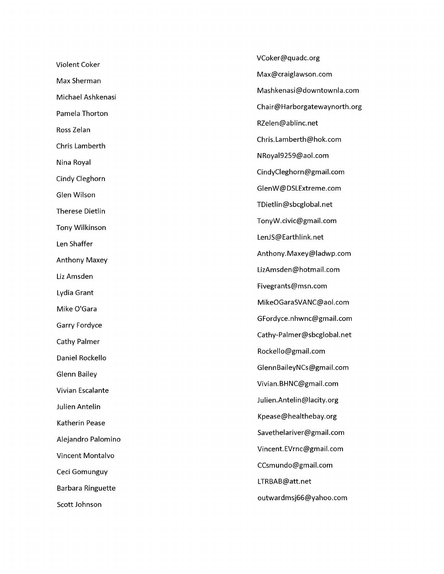Violent Coker Max Sherman Michael Ashkenasi Pamela Thorton Ross Zelan Chris Lamberth Nina Royal Cindy Cleghorn Glen Wilson Therese Dietlin Tony Wilkinson Len Shaffer Anthony Maxey Liz Amsden Lydia Grant Mike O'Gara Garry Fordyce Cathy Palmer Daniel Rockello Glenn Bailey Vivian Escalante Julien Antelin Katherin Pease Alejandro Palomino Vincent Montalvo Ceci Gomunguy Barbara Ringuette Scott Johnson

[VCoker@quadc.org](mailto:VCoker@quadc.org) [Max@craiglawson.com](mailto:Max@craiglawson.com) [Mashkenasi@downtownla.com](mailto:Mashkenasi@downtownla.com) [Chair@Harborgatewaynorth.org](mailto:Chair@Harborgatewaynorth.org) [RZelen@ablinc.net](mailto:RZelen@ablinc.net) [Chris.Lamberth@hok.com](mailto:Chris.Lamberth@hok.com) [NRoyal9259@aol.com](mailto:NRoyal9259@aol.com) [CindyCleghorn@gmail.com](mailto:CindyCleghorn@gmail.com) [GlenW@DSLExtreme.com](mailto:GlenW@DSLExtreme.com) [TDietlin@sbcglobal.net](mailto:TDietlin@sbcglobal.net) [TonyW.civic@gmail.com](mailto:TonyW.civic@gmail.com) [LenJS@Earthlink.net](mailto:LenJS@Earthlink.net) [Anthony.Maxey@ladwp.com](mailto:Anthony.Maxey@ladwp.com) [LizAmsden@hotmail.com](mailto:LizAmsden@hotmail.com) [Fivegrants@msn.com](mailto:Fivegrants@msn.com) [MikeOGaraSVANC@aol.com](mailto:MikeOGaraSVANC@aol.com) [GFordyce.nhwnc@gmail.com](mailto:GFordyce.nhwnc@gmail.com) [Cathy-Palmer@sbcglobal.net](mailto:Cathy-Palmer@sbcglobal.net) [Rockello@gmail.com](mailto:Rockello@gmail.com) [GlennBaileyNCs@gmail.com](mailto:GlennBaileyNCs@gmail.com) [Vivian.BHNC@gmail.com](mailto:Vivian.BHNC@gmail.com) [Julien.Antelin@lacity.org](mailto:Julien.Antelin@lacity.org) [Kpease@healthebay.org](mailto:Kpease@healthebay.org) [Savethelariver@gmail.com](mailto:Savethelariver@gmail.com) [Vincent.EVrnc@gmail.com](mailto:Vincent.EVrnc@gmail.com) [CCsmundo@gmail.com](mailto:CCsmundo@gmail.com) [LTRBAB@att.net](mailto:LTRBAB@att.net) [outwardmsj66@yahoo.com](mailto:outwardmsj66@yahoo.com)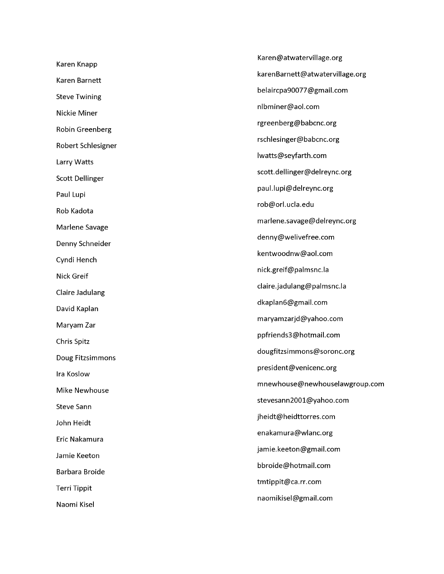Karen Knapp Karen Barnett Steve Twining Nickie Miner Robin Greenberg Robert Schlesigner Larry Watts Scott Dellinger Paul Lupi Rob Kadota Marlene Savage Denny Schneider Cyndi Hench Nick Greif Claire Jadulang David Kaplan Maryam Zar Chris Spitz Doug Fitzsimmons Ira Koslow Mike Newhouse Steve Sann John Heidt Eric Nakamura Jamie Keeton Barbara Broide Terri Tippit Naomi Kisel

[Karen@atwatervillage.org](mailto:Karen@atwatervillage.org) [karenBarnett@atwatervillage.org](mailto:karenBarnett@atwatervillage.org) [belaircpa90077@gmail.com](mailto:belaircpa90077@gmail.com) [nlbminer@aol.com](mailto:nlbminer@aol.com) [rgreenberg@babcnc.org](mailto:rgreenberg@babcnc.org) [rschlesinger@babcnc.org](mailto:rschlesinger@babcnc.org) [lwatts@seyfarth.com](mailto:lwatts@seyfarth.com) [scott.dellinger@delreync.org](mailto:scott.dellinger@delreync.org) [paul.lupi@delreync.org](mailto:paul.lupi@delreync.org) [rob@orl.ucla.edu](mailto:rob@orl.ucla.edu) [marlene.savage@delreync.org](mailto:marlene.savage@delreync.org) [denny@welivefree.com](mailto:denny@welivefree.com) [kentwoodnw@aol.com](mailto:kentwoodnw@aol.com) [nick.greif@palmsnc.la](mailto:nick.greif@palmsnc.la) [claire.jadulang@palmsnc.la](mailto:claire.jadulang@palmsnc.la) [dkaplan6@gmail.com](mailto:dkaplan6@gmail.com) [maryamzarjd@yahoo.com](mailto:maryamzarjd@yahoo.com) [ppfriends3@hotmail.com](mailto:ppfriends3@hotmail.com) [dougfitzsimmons@soronc.org](mailto:dougfitzsimmons@soronc.org) [president@venicenc.org](mailto:president@venicenc.org) [mnewhouse@newhouselawgroup.com](mailto:mnewhouse@newhouselawgroup.com) [stevesann2001@yahoo.com](mailto:stevesann2001@yahoo.com) [jheidt@heidttorres.com](mailto:jheidt@heidttorres.com) [enakamura@wlanc.org](mailto:enakamura@wlanc.org) [jamie.keeton@gmail.com](mailto:jamie.keeton@gmail.com) [bbroide@hotmail.com](mailto:bbroide@hotmail.com) [tmtippit@ca.rr.com](mailto:tmtippit@ca.rr.com) [naomikisel@gmail.com](mailto:naomikisel@gmail.com)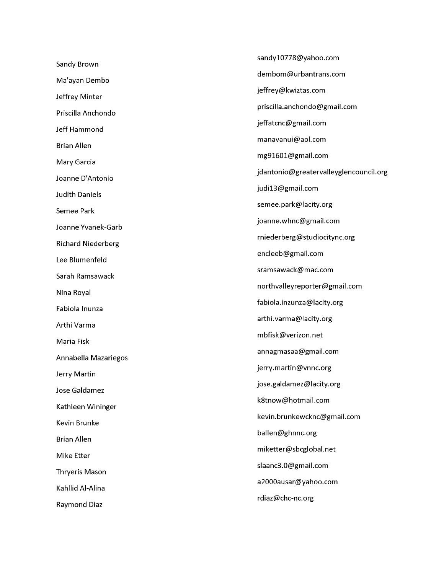[sandy10778@yahoo.com](mailto:sandy10778@yahoo.com) Sandy Brown [dembom@urbantrans.com](mailto:dembom@urbantrans.com) Ma'ayan Dembo [jeffrey@kwiztas.com](mailto:jeffrey@kwiztas.com) Jeffrey Minter [priscilla.anchondo@gmail.com](mailto:priscilla.anchondo@gmail.com) Priscilla Anchondo [jeffatcnc@gmail.com](mailto:jeffatcnc@gmail.com) Jeff Hammond [manavanui@aol.com](mailto:manavanui@aol.com) Brian Allen [mg91601@gmail.com](mailto:mg91601@gmail.com) Mary Garcia [jdantonio@greatervalleyglencouncil.org](mailto:jdantonio@greatervalleyglencouncil.org) Joanne D'Antonio [judi13@gmail.com](mailto:judi13@gmail.com) Judith Daniels [semee.park@lacity.org](mailto:semee.park@lacity.org) Semee Park [joanne.whnc@gmail.com](mailto:joanne.whnc@gmail.com) Joanne Yvanek-Garb [rniederberg@studiocitync.org](mailto:rniederberg@studiocitync.org) Richard Niederberg [encleeb@gmail.com](mailto:encleeb@gmail.com) Lee Blumenfeld [sramsawack@mac.com](mailto:sramsawack@mac.com) Sarah Ramsawack [northvalleyreporter@gmail.com](mailto:northvalleyreporter@gmail.com) Nina Royal [fabiola.inzunza@lacity.org](mailto:fabiola.inzunza@lacity.org) Fabiola Inunza [arthi.varma@lacity.org](mailto:arthi.varma@lacity.org) Arthi Varma [mbfisk@verizon.net](mailto:mbfisk@verizon.net) Maria Fisk [annagmasaa@gmail.com](mailto:annagmasaa@gmail.com) Annabella Mazariegos [jerry.martin@vnnc.org](mailto:jerry.martin@vnnc.org) Jerry Martin [jose.galdamez@lacity.org](mailto:jose.galdamez@lacity.org) Jose Galdamez [k8tnow@hotmail.com](mailto:k8tnow@hotmail.com) Kathleen Wininger [kevin.brunkewcknc@gmail.com](mailto:kevin.brunkewcknc@gmail.com) Kevin Brunke [ballen@ghnnc.org](mailto:ballen@ghnnc.org) Brian Allen [miketter@sbcglobal.net](mailto:miketter@sbcglobal.net) Mike Etter [slaanc3.0@gmail.com](mailto:slaanc3.0@gmail.com) Thryeris Mason [a2000ausar@yahoo.com](mailto:a2000ausar@yahoo.com) Kahllid Al-Alina [rdiaz@chc-nc.org](mailto:rdiaz@chc-nc.org) Raymond Diaz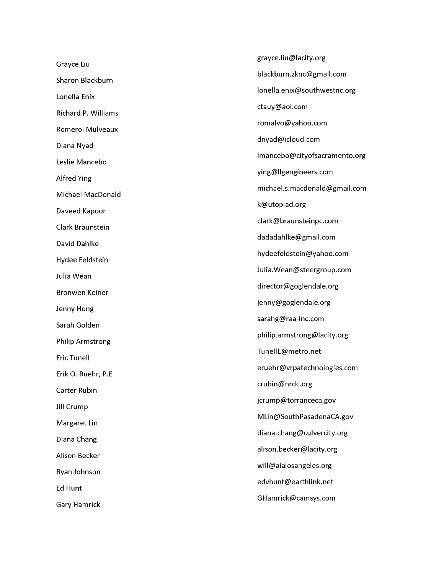Grayce Liu Sharon Blackburn Lonella Enix Richard P. Williams Romerol Mulveaux Diana Nyad Leslie Mancebo Alfred Ying Michael MacDonald Daveed Kapoor Clark Braunstein David Dahlke Hydee Feldstein Julia Wean Bronwen Keiner Jenny Hong Sarah Golden Philip Armstrong Eric Tunell Erik O. Ruehr, P.E Carter Rubin Jill Crump Margaret Lin Diana Chang Alison Becker Ryan Johnson Ed Hunt Gary Hamrick

[grayce.liu@lacity.org](mailto:grayce.liu@lacity.org) [blackburn.zknc@gmail.com](mailto:blackburn.zknc@gmail.com) [lonella.enix@southwestnc.org](mailto:lonella.enix@southwestnc.org) [ctauy@aol.com](mailto:ctauy@aol.com) [romalvo@yahoo.com](mailto:romalvo@yahoo.com) [dnyad@icloud.com](mailto:dnyad@icloud.com) [lmancebo@cityofsacramento.org](mailto:lmancebo@cityofsacramento.org) [ying@llgengineers.com](mailto:ying@llgengineers.com) [michael.s.macdonald@gmail.com](mailto:michael.s.macdonald@gmail.com) [k@utopiad.org](mailto:k@utopiad.org) [clark@braunsteinpc.com](mailto:clark@braunsteinpc.com) [dadadahlke@gmail.com](mailto:dadadahlke@gmail.com) [hydeefeldstein@yahoo.com](mailto:hydeefeldstein@yahoo.com) [Julia.Wean@steergroup.com](mailto:Julia.Wean@steergroup.com) [director@goglendale.org](mailto:director@goglendale.org) [jenny@goglendale.org](mailto:jenny@goglendale.org) [sarahg@raa-inc.com](mailto:sarahg@raa-inc.com) [philip.armstrong@lacity.org](mailto:philip.armstrong@lacity.org) [TunellE@metro.net](mailto:TunellE@metro.net) [eruehr@vrpatechnologies.com](mailto:eruehr@vrpatechnologies.com) [crubin@nrdc.org](mailto:crubin@nrdc.org) [jcrump@torranceca.gov](mailto:jcrump@torranceca.gov) [MLin@SouthPasadenaCA.gov](mailto:MLin@SouthPasadenaCA.gov) [diana.chang@culvercity.org](mailto:diana.chang@culvercity.org) [alison.becker@lacity.org](mailto:alison.becker@lacity.org) [will@aialosangeles.org](mailto:will@aialosangeles.org) [edvhunt@earthlink.net](mailto:edvhunt@earthlink.net) [GHamrick@camsys.com](mailto:GHamrick@camsys.com)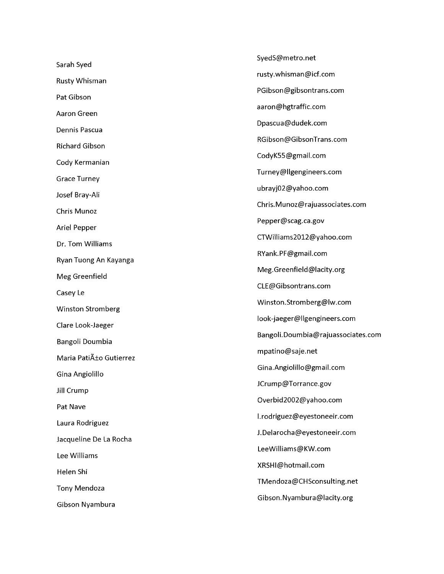|                          | SyedS@metro.net                    |
|--------------------------|------------------------------------|
| Sarah Syed               | rusty.whisman@icf.com              |
| Rusty Whisman            | PGibson@gibsontrans.com            |
| Pat Gibson               | aaron@hgtraffic.com                |
| Aaron Green              | Dpascua@dudek.com                  |
| Dennis Pascua            | RGibson@GibsonTrans.com            |
| <b>Richard Gibson</b>    | CodyK55@gmail.com                  |
| Cody Kermanian           | Turney@llgengineers.com            |
| <b>Grace Turney</b>      |                                    |
| Josef Bray-Ali           | ubrayj02@yahoo.com                 |
| Chris Munoz              | Chris.Munoz@rajuassociates.com     |
| Ariel Pepper             | Pepper@scag.ca.gov                 |
| Dr. Tom Williams         | CTWilliams2012@yahoo.com           |
| Ryan Tuong An Kayanga    | RYank.PF@gmail.com                 |
| Meg Greenfield           | Meg.Greenfield@lacity.org          |
| Casey Le                 | CLE@Gibsontrans.com                |
| <b>Winston Stromberg</b> | Winston.Stromberg@lw.com           |
| Clare Look-Jaeger        | look-jaeger@llgengineers.com       |
| Bangoli Doumbia          | Bangoli.Doumbia@rajuassociates.com |
| Maria Patiño Gutierrez   | mpatino@saje.net                   |
| Gina Angiolillo          | Gina.Angiolillo@gmail.com          |
|                          | JCrump@Torrance.gov                |
| Jill Crump               | Overbid2002@yahoo.com              |
| Pat Nave                 | l.rodriguez@eyestoneeir.com        |
| Laura Rodriguez          | J.Delarocha@eyestoneeir.com        |
| Jacqueline De La Rocha   | LeeWilliams@KW.com                 |
| Lee Williams             | XRSHI@hotmail.com                  |
| Helen Shi                | TMendoza@CHSconsulting.net         |
| <b>Tony Mendoza</b>      | Gibson.Nyambura@lacity.org         |
| Gibson Nyambura          |                                    |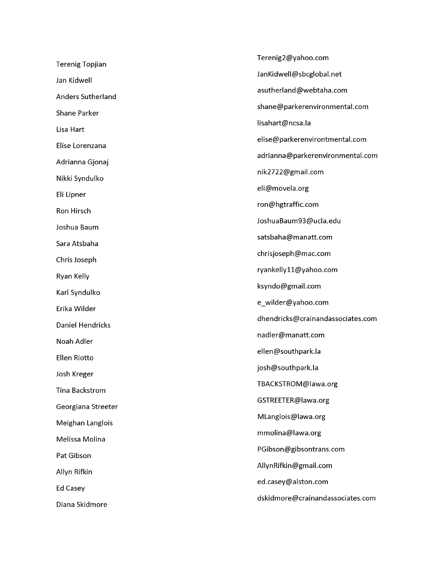|                         | Terenig2@yahoo.com                |
|-------------------------|-----------------------------------|
| <b>Terenig Topjian</b>  | JanKidwell@sbcglobal.net          |
| Jan Kidwell             | asutherland@webtaha.com           |
| Anders Sutherland       |                                   |
| Shane Parker            | shane@parkerenvironmental.com     |
| Lisa Hart               | lisahart@ncsa.la                  |
| Elise Lorenzana         | elise@parkerenvirontmental.com    |
| Adrianna Gjonaj         | adrianna@parkerenvironmental.com  |
| Nikki Syndulko          | nik2722@gmail.com                 |
| Eli Lipner              | eli@movela.org                    |
| Ron Hirsch              | ron@hgtraffic.com                 |
| Joshua Baum             | JoshuaBaum93@ucla.edu             |
| Sara Atsbaha            | satsbaha@manatt.com               |
| Chris Joseph            | chrisjoseph@mac.com               |
| Ryan Kelly              | ryankelly11@yahoo.com             |
| Karl Syndulko           | ksyndo@gmail.com                  |
| Erika Wilder            | e_wilder@yahoo.com                |
| <b>Daniel Hendricks</b> | dhendricks@crainandassociates.com |
| Noah Adler              | nadler@manatt.com                 |
| <b>Ellen Riotto</b>     | ellen@southpark.la                |
|                         | josh@southpark.la                 |
| Josh Kreger             | TBACKSTROM@lawa.org               |
| <b>Tina Backstrom</b>   | GSTREETER@lawa.org                |
| Georgiana Streeter      | MLanglois@lawa.org                |
| Meighan Langlois        | mmolina@lawa.org                  |
| Melissa Molina          |                                   |
| Pat Gibson              | PGibson@gibsontrans.com           |
| Allyn Rifkin            | AllynRifkin@gmail.com             |
| Ed Casey                | ed.casey@alston.com               |
| Diana Skidmore          | dskidmore@crainandassociates.com  |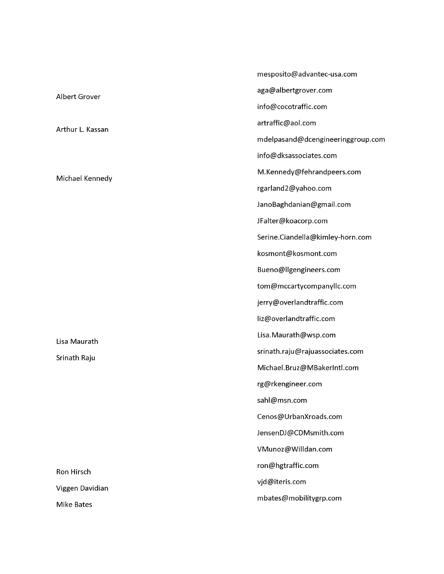|                   | mesposito@advantec-usa.com        |
|-------------------|-----------------------------------|
| Albert Grover     | aga@albertgrover.com              |
|                   | info@cocotraffic.com              |
| Arthur L. Kassan  | artraffic@aol.com                 |
|                   | mdelpasand@dcengineeringgroup.com |
| Michael Kennedy   | info@dksassociates.com            |
|                   | M.Kennedy@fehrandpeers.com        |
|                   | rgarland2@yahoo.com               |
|                   | JanoBaghdanian@gmail.com          |
|                   | JFalter@koacorp.com               |
|                   | Serine.Ciandella@kimley-horn.com  |
|                   | kosmont@kosmont.com               |
|                   | Bueno@llgengineers.com            |
|                   | tom@mccartycompanyllc.com         |
|                   | jerry@overlandtraffic.com         |
|                   | liz@overlandtraffic.com           |
| Lisa Maurath      | Lisa. Maurath@wsp.com             |
| Srinath Raju      | srinath.raju@rajuassociates.com   |
|                   | Michael.Bruz@MBakerIntl.com       |
|                   | rg@rkengineer.com                 |
|                   | sahl@msn.com                      |
|                   | Cenos@UrbanXroads.com             |
|                   | JensenDJ@CDMsmith.com             |
|                   | VMunoz@Willdan.com                |
| Ron Hirsch        | ron@hgtraffic.com                 |
| Viggen Davidian   | vjd@iteris.com                    |
| <b>Mike Bates</b> | mbates@mobilitygrp.com            |
|                   |                                   |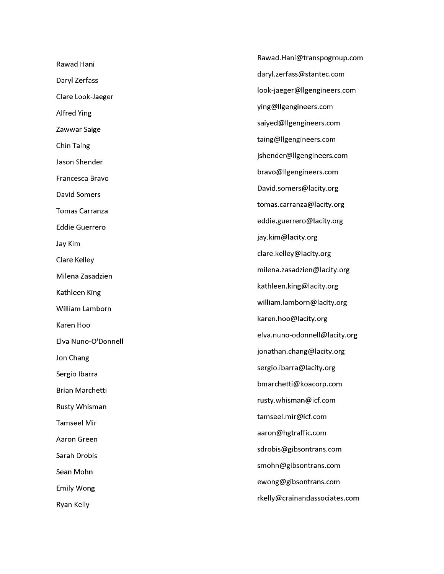Rawad Hani Daryl Zerfass Clare Look-Jaeger Alfred Ying Zawwar Saige Chin Taing Jason Shender Francesca Bravo David Somers Tomas Carranza Eddie Guerrero Jay Kim Clare Kelley Milena Zasadzien Kathleen King William Lamborn Karen Hoo Elva Nuno-O'Donnell Jon Chang Sergio Ibarra Brian Marchetti Rusty Whisman Tamseel Mir Aaron Green Sarah Drobis Sean Mohn Emily Wong Ryan Kelly

[Rawad.Hani@transpogroup.com](mailto:Rawad.Hani@transpogroup.com) [daryl.zerfass@stantec.com](mailto:daryl.zerfass@stantec.com) [look-jaeger@llgengineers.com](mailto:look-jaeger@llgengineers.com) [ying@llgengineers.com](mailto:ying@llgengineers.com) [saiyed@llgengineers.com](mailto:saiyed@llgengineers.com) [taing@llgengineers.com](mailto:taing@llgengineers.com) [jshender@llgengineers.com](mailto:jshender@llgengineers.com) [bravo@llgengineers.com](mailto:bravo@llgengineers.com) [David.somers@lacity.org](mailto:David.somers@lacity.org) [tomas.carranza@lacity.org](mailto:tomas.carranza@lacity.org) [eddie.guerrero@lacity.org](mailto:eddie.guerrero@lacity.org) [jay.kim@lacity.org](mailto:jay.kim@lacity.org) [clare.kelley@lacity.org](mailto:clare.kelley@lacity.org) [milena.zasadzien@lacity.org](mailto:milena.zasadzien@lacity.org) [kathleen.king@lacity.org](mailto:kathleen.king@lacity.org) [william.lamborn@lacity.org](mailto:william.lamborn@lacity.org) [karen.hoo@lacity.org](mailto:karen.hoo@lacity.org) [elva.nuno-odonnell@lacity.org](mailto:elva.nuno-odonnell@lacity.org) [jonathan.chang@lacity.org](mailto:jonathan.chang@lacity.org) [sergio.ibarra@lacity.org](mailto:sergio.ibarra@lacity.org) [bmarchetti@koacorp.com](mailto:bmarchetti@koacorp.com) [rusty.whisman@icf.com](mailto:rusty.whisman@icf.com) [tamseel.mir@icf.com](mailto:tamseel.mir@icf.com) [aaron@hgtraffic.com](mailto:aaron@hgtraffic.com) [sdrobis@gibsontrans.com](mailto:sdrobis@gibsontrans.com) [smohn@gibsontrans.com](mailto:smohn@gibsontrans.com) [ewong@gibsontrans.com](mailto:ewong@gibsontrans.com) [rkelly@crainandassociates.com](mailto:rkelly@crainandassociates.com)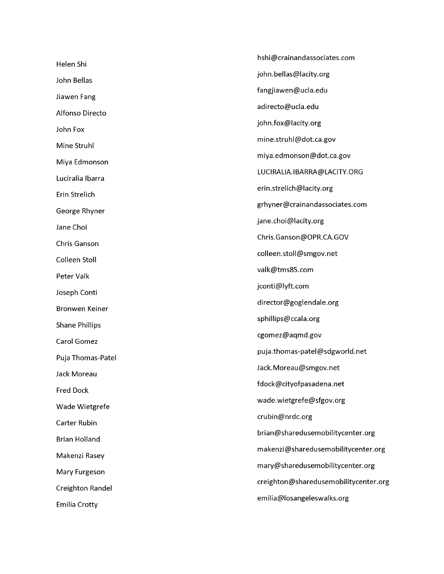[hshi@crainandassociates.com](mailto:hshi@crainandassociates.com) Helen Shi [john.bellas@lacity.org](mailto:john.bellas@lacity.org) John Bellas [fangjiawen@ucla.edu](mailto:fangjiawen@ucla.edu) Jiawen Fang [adirecto@ucla.edu](mailto:adirecto@ucla.edu) Alfonso Directo [john.fox@lacity.org](mailto:john.fox@lacity.org) John Fox [mine.struhl@dot.ca.gov](mailto:mine.struhl@dot.ca.gov) Mine Struhl [miya.edmonson@dot.ca.gov](mailto:miya.edmonson@dot.ca.gov) Miya Edmonson [LUCIRALIA.IBARRA@LACITY.ORG](mailto:LUCIRALIA.IBARRA@LACITY.ORG) Luciralia Ibarra [erin.strelich@lacity.org](mailto:erin.strelich@lacity.org) Erin Strelich [grhyner@crainandassociates.com](mailto:grhyner@crainandassociates.com) George Rhyner [jane.choi@lacity.org](mailto:jane.choi@lacity.org) Jane Choi [Chris.Ganson@OPR.CA.GOV](mailto:Chris.Ganson@OPR.CA.GOV) Chris Ganson [colleen.stoll@smgov.net](mailto:colleen.stoll@smgov.net) Colleen Stoll [valk@tms85.com](mailto:valk@tms85.com) Peter Valk [jconti@lyft.com](mailto:jconti@lyft.com) Joseph Conti [director@goglendale.org](mailto:director@goglendale.org) Bronwen Keiner [sphillips@ccala.org](mailto:sphillips@ccala.org) Shane Phillips [cgomez@aqmd.gov](mailto:cgomez@aqmd.gov) Carol Gomez [puja.thomas-patel@sdgworld.net](mailto:puja.thomas-patel@sdgworld.net) Puja Thomas-Patel [Jack.Moreau@smgov.net](mailto:Jack.Moreau@smgov.net) Jack Moreau [fdock@cityofpasadena.net](mailto:fdock@cityofpasadena.net) Fred Dock [wade.wietgrefe@sfgov.org](mailto:wade.wietgrefe@sfgov.org) Wade Wietgrefe [crubin@nrdc.org](mailto:crubin@nrdc.org) Carter Rubin [brian@sharedusemobilitycenter.org](mailto:brian@sharedusemobilitycenter.org) Brian Holland [makenzi@sharedusemobilitycenter.org](mailto:makenzi@sharedusemobilitycenter.org) Makenzi Rasey [mary@sharedusemobilitycenter.org](mailto:mary@sharedusemobilitycenter.org) Mary Furgeson [creighton@sharedusemobilitycenter.org](mailto:creighton@sharedusemobilitycenter.org) Creighton Randel [emilia@losangeleswalks.org](mailto:emilia@losangeleswalks.org) Emilia Crotty